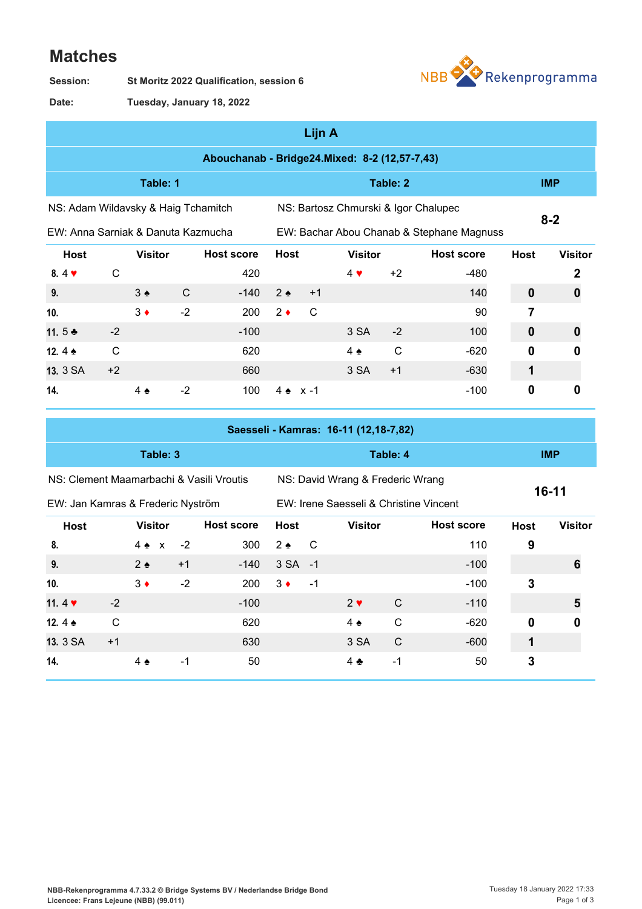## **Matches**





**Tuesday, January 18, 2022 Date:**

|                                               |              |                   |      |                   |               | Lijn A |                                      |              |                                           |             |                |  |
|-----------------------------------------------|--------------|-------------------|------|-------------------|---------------|--------|--------------------------------------|--------------|-------------------------------------------|-------------|----------------|--|
| Abouchanab - Bridge24.Mixed: 8-2 (12,57-7,43) |              |                   |      |                   |               |        |                                      |              |                                           |             |                |  |
|                                               |              | Table: 1          |      |                   |               |        |                                      | <b>IMP</b>   |                                           |             |                |  |
| NS: Adam Wildavsky & Haig Tchamitch           |              |                   |      |                   |               |        | NS: Bartosz Chmurski & Igor Chalupec |              |                                           |             |                |  |
| EW: Anna Sarniak & Danuta Kazmucha            |              |                   |      |                   |               |        |                                      |              | EW: Bachar Abou Chanab & Stephane Magnuss | $8 - 2$     |                |  |
| <b>Host</b>                                   |              | <b>Visitor</b>    |      | <b>Host score</b> | <b>Host</b>   |        | <b>Visitor</b>                       |              | <b>Host score</b>                         | <b>Host</b> | <b>Visitor</b> |  |
| $8.4$ $\blacktriangledown$                    | $\mathsf{C}$ |                   |      | 420               |               |        | $4 \vee$                             | $+2$         | $-480$                                    |             | 2              |  |
| 9.                                            |              | $3 \triangleleft$ | C    | $-140$            | $2 \triangle$ | $+1$   |                                      |              | 140                                       | $\mathbf 0$ | 0              |  |
| 10.                                           |              | $3 \bullet$       | $-2$ | 200               | $2 \bullet$   | C      |                                      |              | 90                                        | 7           |                |  |
| 11.5 $\clubsuit$                              | $-2$         |                   |      | $-100$            |               |        | 3 SA                                 | $-2$         | 100                                       | $\mathbf 0$ | 0              |  |
| 12.4 $\triangle$                              | $\mathsf{C}$ |                   |      | 620               |               |        | $4 \triangle$                        | $\mathsf{C}$ | $-620$                                    | $\bf{0}$    | 0              |  |
| 13. 3 SA                                      | $+2$         |                   |      | 660               |               |        | 3 SA                                 | $+1$         | $-630$                                    | 1           |                |  |
| 14.                                           |              | 4 ♠               | $-2$ | 100               | $4 \bullet$   | x -1   |                                      |              | $-100$                                    | $\mathbf 0$ | 0              |  |

|                                          |              |                 |  |      |                   |               |                                        | Saesseli - Kamras: 16-11 (12,18-7,82) |              |                   |             |                |
|------------------------------------------|--------------|-----------------|--|------|-------------------|---------------|----------------------------------------|---------------------------------------|--------------|-------------------|-------------|----------------|
|                                          |              | Table: 3        |  |      |                   |               |                                        | Table: 4                              |              | <b>IMP</b>        |             |                |
| NS: Clement Maamarbachi & Vasili Vroutis |              |                 |  |      |                   |               | NS: David Wrang & Frederic Wrang       |                                       | $16-11$      |                   |             |                |
| EW: Jan Kamras & Frederic Nyström        |              |                 |  |      |                   |               | EW: Irene Saesseli & Christine Vincent |                                       |              |                   |             |                |
| <b>Host</b>                              |              | <b>Visitor</b>  |  |      | <b>Host score</b> | <b>Host</b>   |                                        | <b>Visitor</b>                        |              | <b>Host score</b> | <b>Host</b> | <b>Visitor</b> |
| 8.                                       |              | $4 \triangle x$ |  | $-2$ | 300               | $2 \triangle$ | C                                      |                                       |              | 110               | 9           |                |
| 9.                                       |              | $2 \triangle$   |  | $+1$ | $-140$            | 3 SA -1       |                                        |                                       |              | $-100$            |             | 6              |
| 10.                                      |              | $3 \bullet$     |  | $-2$ | 200               | $3 \bullet$   | $-1$                                   |                                       |              | $-100$            | 3           |                |
| 11.4 $\blacktriangledown$                | $-2$         |                 |  |      | $-100$            |               |                                        | $2 \vee$                              | C            | $-110$            |             | 5              |
| 12.4 $\triangle$                         | $\mathsf{C}$ |                 |  |      | 620               |               |                                        | $4 \triangle$                         | C            | $-620$            | $\mathbf 0$ | 0              |
| 13. 3 SA                                 | $+1$         |                 |  |      | 630               |               |                                        | 3 SA                                  | $\mathsf{C}$ | $-600$            |             |                |
| 14.                                      |              | $4 \triangle$   |  | -1   | 50                |               |                                        | 4 ♣                                   | $-1$         | 50                | 3           |                |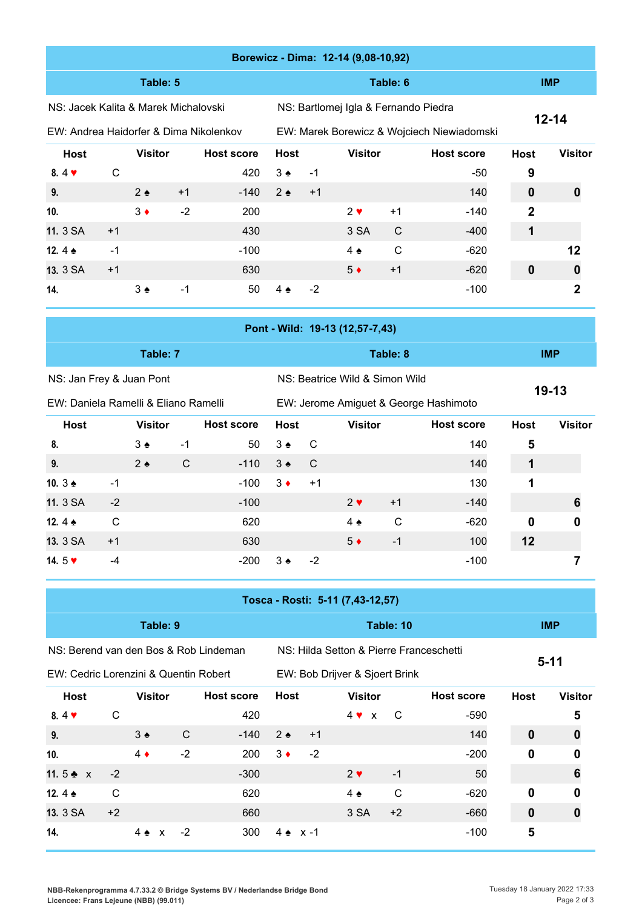|                                        |      |                |      |                   |                   |      | Borewicz - Dima: 12-14 (9,08-10,92)        |            |                   |                |                |
|----------------------------------------|------|----------------|------|-------------------|-------------------|------|--------------------------------------------|------------|-------------------|----------------|----------------|
|                                        |      | Table: 5       |      |                   |                   |      |                                            | <b>IMP</b> |                   |                |                |
| NS: Jacek Kalita & Marek Michalovski   |      |                |      |                   |                   |      | NS: Bartlomej Igla & Fernando Piedra       | $12 - 14$  |                   |                |                |
| EW: Andrea Haidorfer & Dima Nikolenkov |      |                |      |                   |                   |      | EW: Marek Borewicz & Wojciech Niewiadomski |            |                   |                |                |
| <b>Host</b>                            |      | <b>Visitor</b> |      | <b>Host score</b> | <b>Host</b>       |      | <b>Visitor</b>                             |            | <b>Host score</b> | <b>Host</b>    | <b>Visitor</b> |
| $8.4$ $\blacktriangledown$             | C    |                |      | 420               | $3 \triangle$     | $-1$ |                                            |            | -50               | 9              |                |
| 9.                                     |      | $2 \triangle$  | $+1$ | $-140$            | $2 \cdot$         | $+1$ |                                            |            | 140               | $\bf{0}$       | 0              |
| 10.                                    |      | $3 \bullet$    | $-2$ | 200               |                   |      | $2 \vee$                                   | $+1$       | -140              | $\overline{2}$ |                |
| 11. 3 SA                               | $+1$ |                |      | 430               |                   |      | 3 SA                                       | C          | $-400$            | 1              |                |
| 12. $4 \triangle$                      | $-1$ |                |      | $-100$            |                   |      | $4 \triangle$                              | C          | $-620$            |                | 12             |
| 13. 3 SA                               | $+1$ |                |      | 630               |                   |      | $5*$                                       | $+1$       | $-620$            | $\bf{0}$       | 0              |
| 14.                                    |      | $3 \triangle$  | $-1$ | 50                | $4 \triangleleft$ | $-2$ |                                            |            | $-100$            |                | 2              |

| Pont - Wild: 19-13 (12,57-7,43) |                                      |            |             |                                       |                   |                               |  |  |  |  |  |  |
|---------------------------------|--------------------------------------|------------|-------------|---------------------------------------|-------------------|-------------------------------|--|--|--|--|--|--|
|                                 | Table: 7                             |            |             | Table: 8                              |                   | <b>IMP</b>                    |  |  |  |  |  |  |
| NS: Jan Frey & Juan Pont        |                                      |            |             | NS: Beatrice Wild & Simon Wild        | $19-13$           |                               |  |  |  |  |  |  |
|                                 | EW: Daniela Ramelli & Eliano Ramelli |            |             | EW: Jerome Amiguet & George Hashimoto |                   |                               |  |  |  |  |  |  |
| Host                            | <b>Visitor</b>                       | Host score | <b>Host</b> | Visitor                               | <b>Host score</b> | <b>Visitor</b><br><b>Host</b> |  |  |  |  |  |  |

| 8.                        |      | $3 \triangleleft$ | -1 |                                          | $50 \quad 3 \bullet \quad C$ |                |             |      | 140    | 5  |   |
|---------------------------|------|-------------------|----|------------------------------------------|------------------------------|----------------|-------------|------|--------|----|---|
| 9.                        |      | $2 \triangle$     | C  | $-110$ 3 <sup><math>\bullet</math></sup> |                              | $\overline{C}$ |             |      | 140    |    |   |
| 10. $3 \triangleq$        | -1   |                   |    | $-100$                                   | $3 \bullet$                  | $+1$           |             |      | 130    | 1  |   |
| 11. 3 SA                  | $-2$ |                   |    | $-100$                                   |                              |                | $2 \vee$    | $+1$ | $-140$ |    |   |
| 12.4 $\triangle$          | C    |                   |    | 620                                      |                              |                | $4 \bullet$ | C    | $-620$ | 0  | 0 |
| 13. 3 SA                  | $+1$ |                   |    | 630                                      |                              |                | $5 \bullet$ | -1   | 100    | 12 |   |
| 14.5 $\blacktriangledown$ | -4   |                   |    | -200                                     | $3 \cdot$                    | $-2$           |             |      | $-100$ |    |   |

|                                       | Tosca - Rosti: 5-11 (7,43-12,57) |                               |      |                   |             |                 |                                         |            |                   |             |                |  |  |  |
|---------------------------------------|----------------------------------|-------------------------------|------|-------------------|-------------|-----------------|-----------------------------------------|------------|-------------------|-------------|----------------|--|--|--|
|                                       |                                  | Table: 9                      |      |                   |             |                 |                                         | <b>IMP</b> |                   |             |                |  |  |  |
| NS: Berend van den Bos & Rob Lindeman |                                  |                               |      |                   |             |                 | NS: Hilda Setton & Pierre Franceschetti |            |                   |             |                |  |  |  |
| EW: Cedric Lorenzini & Quentin Robert |                                  |                               |      |                   |             |                 | EW: Bob Drijver & Sjoert Brink          |            |                   | $5 - 11$    |                |  |  |  |
| Host                                  |                                  | <b>Visitor</b>                |      | <b>Host score</b> | <b>Host</b> |                 | <b>Visitor</b>                          |            | <b>Host score</b> | <b>Host</b> | <b>Visitor</b> |  |  |  |
| $8.4$ $\blacktriangledown$            | C                                |                               |      | 420               |             |                 | $4 \vee x$                              | C          | $-590$            |             | 5              |  |  |  |
| 9.                                    |                                  | $3 \triangleleft$             | C    | $-140$            | $2 \bullet$ | $+1$            |                                         |            | 140               | 0           | 0              |  |  |  |
| 10.                                   |                                  | $4 \bullet$                   | $-2$ | 200               | $3 \bullet$ | $-2$            |                                         |            | $-200$            | 0           | 0              |  |  |  |
| 11.5 $\bullet$ x                      | $-2$                             |                               |      | $-300$            |             |                 | $2 \vee$                                | $-1$       | 50                |             | 6              |  |  |  |
| 12.4 $\spadesuit$                     | C                                |                               |      | 620               |             |                 | $4 \triangle$                           | C          | $-620$            | 0           | 0              |  |  |  |
| 13. 3 SA                              | $+2$                             |                               |      | 660               |             |                 | 3 SA                                    | $+2$       | $-660$            | 0           |                |  |  |  |
| 14.                                   |                                  | $4 \triangle$<br>$\mathsf{x}$ | $-2$ | 300               |             | $4 \cdot x - 1$ |                                         |            | $-100$            | 5           |                |  |  |  |

**NBB-Rekenprogramma 4.7.33.2 © Bridge Systems BV / Nederlandse Bridge Bond Licencee: Frans Lejeune (NBB) (99.011)**